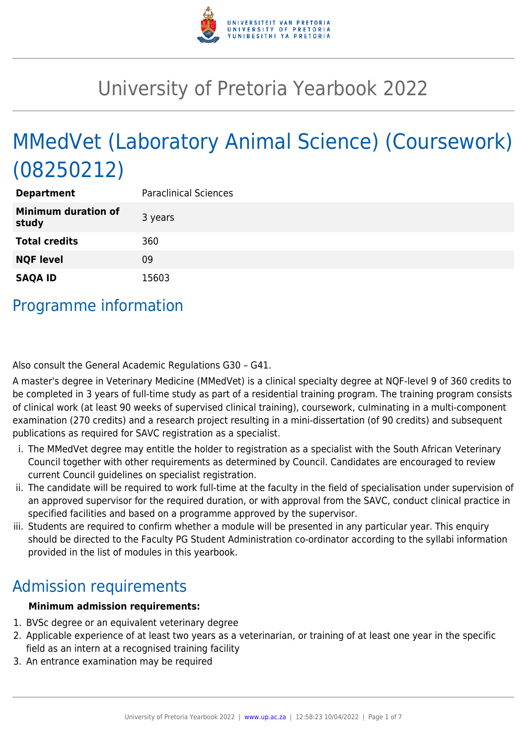

# University of Pretoria Yearbook 2022

# MMedVet (Laboratory Animal Science) (Coursework) (08250212)

| <b>Department</b>                   | <b>Paraclinical Sciences</b> |
|-------------------------------------|------------------------------|
| <b>Minimum duration of</b><br>study | 3 years                      |
| <b>Total credits</b>                | 360                          |
| <b>NQF level</b>                    | 09                           |
| <b>SAQA ID</b>                      | 15603                        |

### Programme information

Also consult the General Academic Regulations G30 – G41.

A master's degree in Veterinary Medicine (MMedVet) is a clinical specialty degree at NQF-level 9 of 360 credits to be completed in 3 years of full-time study as part of a residential training program. The training program consists of clinical work (at least 90 weeks of supervised clinical training), coursework, culminating in a multi-component examination (270 credits) and a research project resulting in a mini-dissertation (of 90 credits) and subsequent publications as required for SAVC registration as a specialist.

- i. The MMedVet degree may entitle the holder to registration as a specialist with the South African Veterinary Council together with other requirements as determined by Council. Candidates are encouraged to review current Council guidelines on specialist registration.
- ii. The candidate will be required to work full-time at the faculty in the field of specialisation under supervision of an approved supervisor for the required duration, or with approval from the SAVC, conduct clinical practice in specified facilities and based on a programme approved by the supervisor.
- iii. Students are required to confirm whether a module will be presented in any particular year. This enquiry should be directed to the Faculty PG Student Administration co-ordinator according to the syllabi information provided in the list of modules in this yearbook.

### Admission requirements

#### **Minimum admission requirements:**

- 1. BVSc degree or an equivalent veterinary degree
- 2. Applicable experience of at least two years as a veterinarian, or training of at least one year in the specific field as an intern at a recognised training facility
- 3. An entrance examination may be required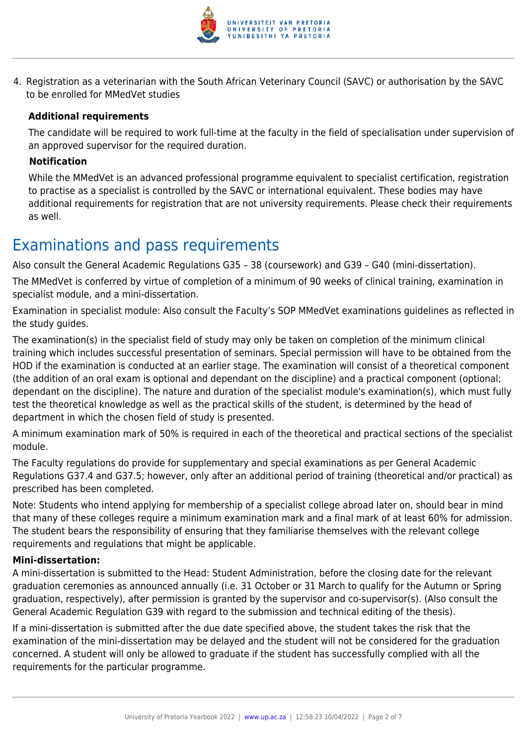

4. Registration as a veterinarian with the South African Veterinary Council (SAVC) or authorisation by the SAVC to be enrolled for MMedVet studies

#### **Additional requirements**

The candidate will be required to work full-time at the faculty in the field of specialisation under supervision of an approved supervisor for the required duration.

#### **Notification**

While the MMedVet is an advanced professional programme equivalent to specialist certification, registration to practise as a specialist is controlled by the SAVC or international equivalent. These bodies may have additional requirements for registration that are not university requirements. Please check their requirements as well.

### Examinations and pass requirements

Also consult the General Academic Regulations G35 – 38 (coursework) and G39 – G40 (mini-dissertation).

The MMedVet is conferred by virtue of completion of a minimum of 90 weeks of clinical training, examination in specialist module, and a mini-dissertation.

Examination in specialist module: Also consult the Faculty's SOP MMedVet examinations guidelines as reflected in the study guides.

The examination(s) in the specialist field of study may only be taken on completion of the minimum clinical training which includes successful presentation of seminars. Special permission will have to be obtained from the HOD if the examination is conducted at an earlier stage. The examination will consist of a theoretical component (the addition of an oral exam is optional and dependant on the discipline) and a practical component (optional; dependant on the discipline). The nature and duration of the specialist module's examination(s), which must fully test the theoretical knowledge as well as the practical skills of the student, is determined by the head of department in which the chosen field of study is presented.

A minimum examination mark of 50% is required in each of the theoretical and practical sections of the specialist module.

The Faculty regulations do provide for supplementary and special examinations as per General Academic Regulations G37.4 and G37.5; however, only after an additional period of training (theoretical and/or practical) as prescribed has been completed.

Note: Students who intend applying for membership of a specialist college abroad later on, should bear in mind that many of these colleges require a minimum examination mark and a final mark of at least 60% for admission. The student bears the responsibility of ensuring that they familiarise themselves with the relevant college requirements and regulations that might be applicable.

#### **Mini-dissertation:**

A mini-dissertation is submitted to the Head: Student Administration, before the closing date for the relevant graduation ceremonies as announced annually (i.e. 31 October or 31 March to qualify for the Autumn or Spring graduation, respectively), after permission is granted by the supervisor and co-supervisor(s). (Also consult the General Academic Regulation G39 with regard to the submission and technical editing of the thesis).

If a mini-dissertation is submitted after the due date specified above, the student takes the risk that the examination of the mini-dissertation may be delayed and the student will not be considered for the graduation concerned. A student will only be allowed to graduate if the student has successfully complied with all the requirements for the particular programme.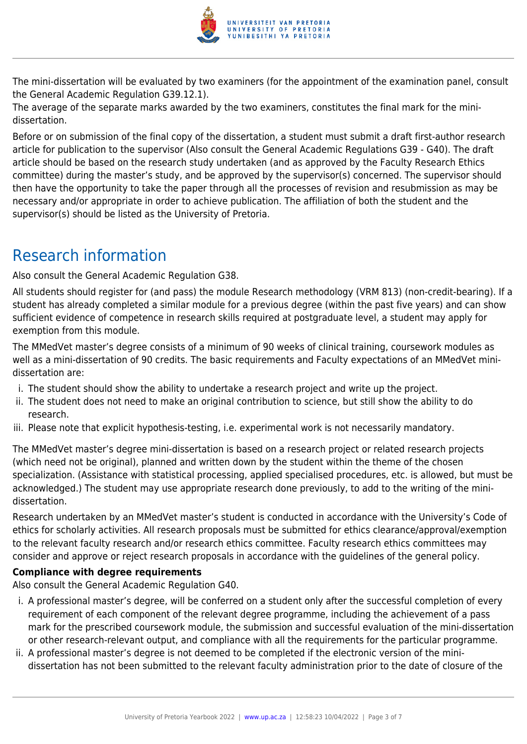

The mini-dissertation will be evaluated by two examiners (for the appointment of the examination panel, consult the General Academic Regulation G39.12.1).

The average of the separate marks awarded by the two examiners, constitutes the final mark for the minidissertation.

Before or on submission of the final copy of the dissertation, a student must submit a draft first-author research article for publication to the supervisor (Also consult the General Academic Regulations G39 - G40). The draft article should be based on the research study undertaken (and as approved by the Faculty Research Ethics committee) during the master's study, and be approved by the supervisor(s) concerned. The supervisor should then have the opportunity to take the paper through all the processes of revision and resubmission as may be necessary and/or appropriate in order to achieve publication. The affiliation of both the student and the supervisor(s) should be listed as the University of Pretoria.

# Research information

Also consult the General Academic Regulation G38.

All students should register for (and pass) the module Research methodology (VRM 813) (non-credit-bearing). If a student has already completed a similar module for a previous degree (within the past five years) and can show sufficient evidence of competence in research skills required at postgraduate level, a student may apply for exemption from this module.

The MMedVet master's degree consists of a minimum of 90 weeks of clinical training, coursework modules as well as a mini-dissertation of 90 credits. The basic requirements and Faculty expectations of an MMedVet minidissertation are:

- i. The student should show the ability to undertake a research project and write up the project.
- ii. The student does not need to make an original contribution to science, but still show the ability to do research.
- iii. Please note that explicit hypothesis-testing, i.e. experimental work is not necessarily mandatory.

The MMedVet master's degree mini-dissertation is based on a research project or related research projects (which need not be original), planned and written down by the student within the theme of the chosen specialization. (Assistance with statistical processing, applied specialised procedures, etc. is allowed, but must be acknowledged.) The student may use appropriate research done previously, to add to the writing of the minidissertation.

Research undertaken by an MMedVet master's student is conducted in accordance with the University's Code of ethics for scholarly activities. All research proposals must be submitted for ethics clearance/approval/exemption to the relevant faculty research and/or research ethics committee. Faculty research ethics committees may consider and approve or reject research proposals in accordance with the guidelines of the general policy.

#### **Compliance with degree requirements**

Also consult the General Academic Regulation G40.

- i. A professional master's degree, will be conferred on a student only after the successful completion of every requirement of each component of the relevant degree programme, including the achievement of a pass mark for the prescribed coursework module, the submission and successful evaluation of the mini-dissertation or other research-relevant output, and compliance with all the requirements for the particular programme.
- ii. A professional master's degree is not deemed to be completed if the electronic version of the minidissertation has not been submitted to the relevant faculty administration prior to the date of closure of the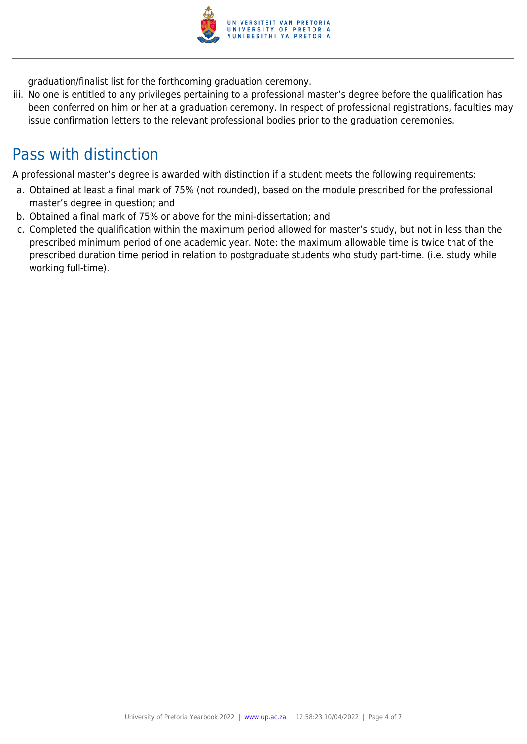

graduation/finalist list for the forthcoming graduation ceremony.

iii. No one is entitled to any privileges pertaining to a professional master's degree before the qualification has been conferred on him or her at a graduation ceremony. In respect of professional registrations, faculties may issue confirmation letters to the relevant professional bodies prior to the graduation ceremonies.

### Pass with distinction

A professional master's degree is awarded with distinction if a student meets the following requirements:

- a. Obtained at least a final mark of 75% (not rounded), based on the module prescribed for the professional master's degree in question; and
- b. Obtained a final mark of 75% or above for the mini-dissertation; and
- c. Completed the qualification within the maximum period allowed for master's study, but not in less than the prescribed minimum period of one academic year. Note: the maximum allowable time is twice that of the prescribed duration time period in relation to postgraduate students who study part-time. (i.e. study while working full-time).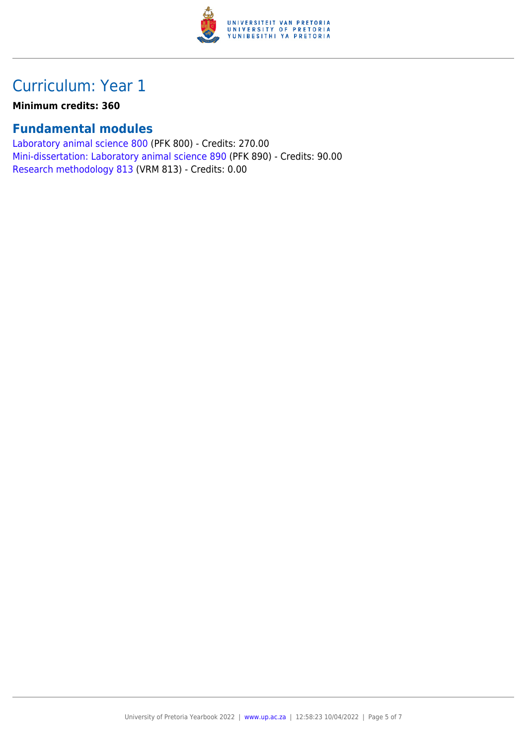

## Curriculum: Year 1

**Minimum credits: 360**

#### **Fundamental modules**

[Laboratory animal science 800](https://www.up.ac.za/mechanical-and-aeronautical-engineering/yearbooks/2022/modules/view/PFK 800) (PFK 800) - Credits: 270.00 [Mini-dissertation: Laboratory animal science 890](https://www.up.ac.za/mechanical-and-aeronautical-engineering/yearbooks/2022/modules/view/PFK 890) (PFK 890) - Credits: 90.00 [Research methodology 813](https://www.up.ac.za/mechanical-and-aeronautical-engineering/yearbooks/2022/modules/view/VRM 813) (VRM 813) - Credits: 0.00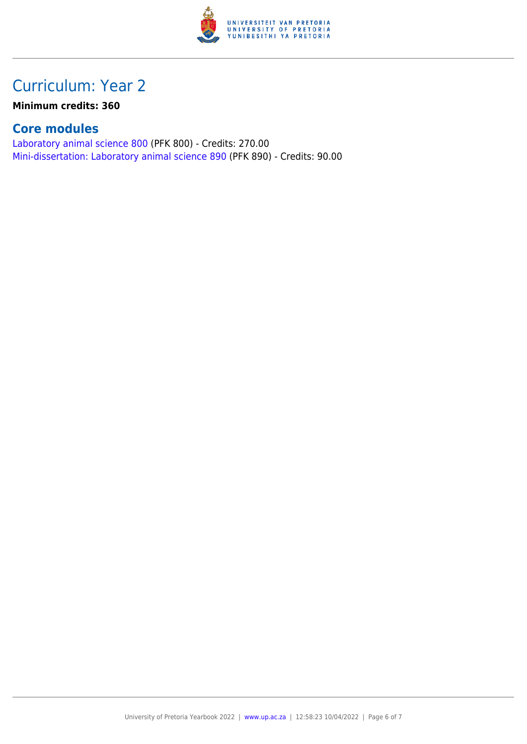

## Curriculum: Year 2

**Minimum credits: 360**

#### **Core modules**

[Laboratory animal science 800](https://www.up.ac.za/mechanical-and-aeronautical-engineering/yearbooks/2022/modules/view/PFK 800) (PFK 800) - Credits: 270.00 [Mini-dissertation: Laboratory animal science 890](https://www.up.ac.za/mechanical-and-aeronautical-engineering/yearbooks/2022/modules/view/PFK 890) (PFK 890) - Credits: 90.00